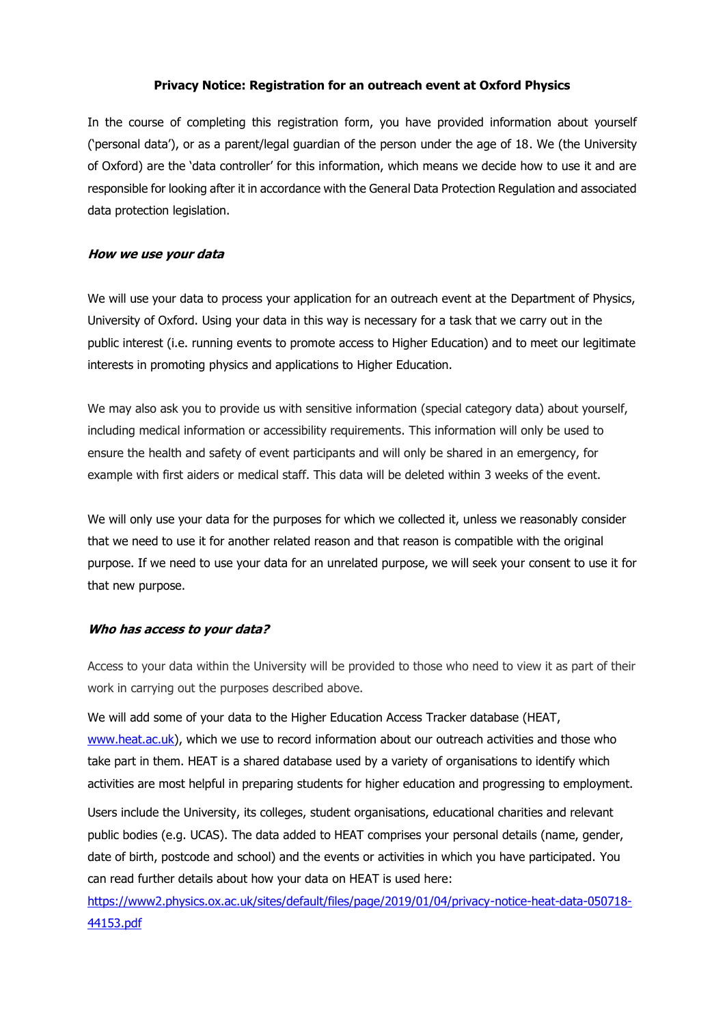## **Privacy Notice: Registration for an outreach event at Oxford Physics**

In the course of completing this registration form, you have provided information about yourself ('personal data'), or as a parent/legal guardian of the person under the age of 18. We (the University of Oxford) are the 'data controller' for this information, which means we decide how to use it and are responsible for looking after it in accordance with the General Data Protection Regulation and associated data protection legislation.

## **How we use your data**

We will use your data to process your application for an outreach event at the Department of Physics, University of Oxford. Using your data in this way is necessary for a task that we carry out in the public interest (i.e. running events to promote access to Higher Education) and to meet our legitimate interests in promoting physics and applications to Higher Education.

We may also ask you to provide us with sensitive information (special category data) about yourself, including medical information or accessibility requirements. This information will only be used to ensure the health and safety of event participants and will only be shared in an emergency, for example with first aiders or medical staff. This data will be deleted within 3 weeks of the event.

We will only use your data for the purposes for which we collected it, unless we reasonably consider that we need to use it for another related reason and that reason is compatible with the original purpose. If we need to use your data for an unrelated purpose, we will seek your consent to use it for that new purpose.

## **Who has access to your data?**

Access to your data within the University will be provided to those who need to view it as part of their work in carrying out the purposes described above.

We will add some of your data to the Higher Education Access Tracker database (HEAT, [www.heat.ac.uk\)](http://www.heat.ac.uk/), which we use to record information about our outreach activities and those who take part in them. HEAT is a shared database used by a variety of organisations to identify which activities are most helpful in preparing students for higher education and progressing to employment.

Users include the University, its colleges, student organisations, educational charities and relevant public bodies (e.g. UCAS). The data added to HEAT comprises your personal details (name, gender, date of birth, postcode and school) and the events or activities in which you have participated. You can read further details about how your data on HEAT is used here:

[https://www2.physics.ox.ac.uk/sites/default/files/page/2019/01/04/privacy-notice-heat-data-050718-](https://www2.physics.ox.ac.uk/sites/default/files/page/2019/01/04/privacy-notice-heat-data-050718-44153.pdf) [44153.pdf](https://www2.physics.ox.ac.uk/sites/default/files/page/2019/01/04/privacy-notice-heat-data-050718-44153.pdf)